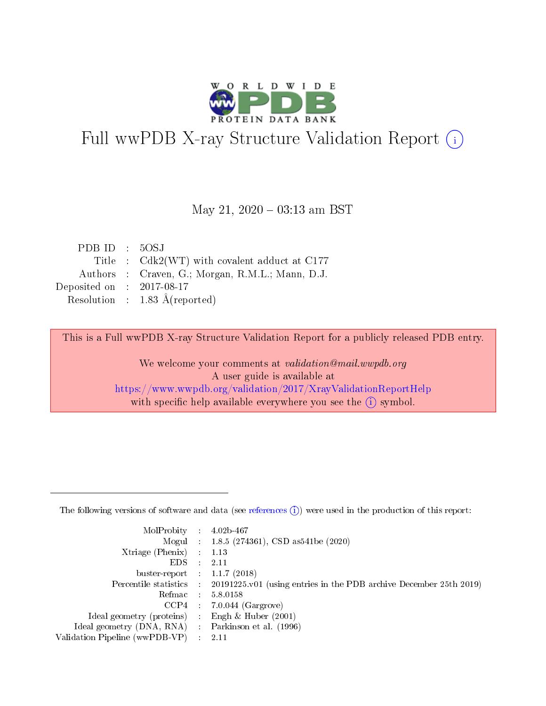

# Full wwPDB X-ray Structure Validation Report (i)

#### May 21,  $2020 - 03:13$  am BST

| PDB ID : 50SJ               |                                                  |
|-----------------------------|--------------------------------------------------|
|                             | Title: Cdk2(WT) with covalent adduct at C177     |
|                             | Authors : Craven, G.; Morgan, R.M.L.; Mann, D.J. |
| Deposited on : $2017-08-17$ |                                                  |
|                             | Resolution : $1.83 \text{ Å}$ (reported)         |

This is a Full wwPDB X-ray Structure Validation Report for a publicly released PDB entry.

We welcome your comments at validation@mail.wwpdb.org A user guide is available at <https://www.wwpdb.org/validation/2017/XrayValidationReportHelp> with specific help available everywhere you see the  $(i)$  symbol.

The following versions of software and data (see [references](https://www.wwpdb.org/validation/2017/XrayValidationReportHelp#references)  $(1)$ ) were used in the production of this report:

| MolProbity :                   |               | $4.02b - 467$                                                                |
|--------------------------------|---------------|------------------------------------------------------------------------------|
|                                |               | Mogul : 1.8.5 (274361), CSD as 541be (2020)                                  |
| $X$ triage (Phenix) :          |               | 1.13                                                                         |
| EDS.                           |               | 2.11                                                                         |
| buster-report : $1.1.7$ (2018) |               |                                                                              |
| Percentile statistics :        |               | $20191225 \text{ v}01$ (using entries in the PDB archive December 25th 2019) |
| Refmac :                       |               | 5.8.0158                                                                     |
| $CCP4$ :                       |               | $7.0.044$ (Gargrove)                                                         |
| Ideal geometry (proteins) :    |               | Engh $\&$ Huber (2001)                                                       |
| Ideal geometry (DNA, RNA) :    |               | Parkinson et al. (1996)                                                      |
| Validation Pipeline (wwPDB-VP) | $\mathcal{L}$ | 2.11                                                                         |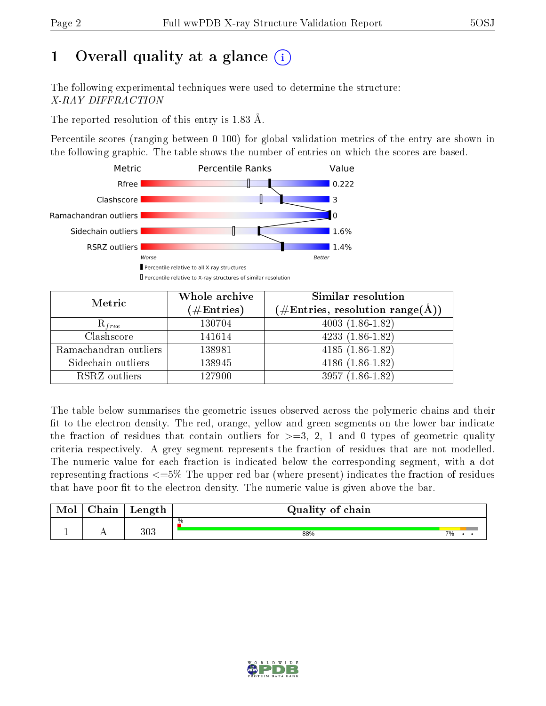# 1 [O](https://www.wwpdb.org/validation/2017/XrayValidationReportHelp#overall_quality)verall quality at a glance  $(i)$

The following experimental techniques were used to determine the structure: X-RAY DIFFRACTION

The reported resolution of this entry is 1.83 Å.

Percentile scores (ranging between 0-100) for global validation metrics of the entry are shown in the following graphic. The table shows the number of entries on which the scores are based.



| Metric                | Whole archive<br>$(\#\text{Entries})$ | Similar resolution<br>$(\#\text{Entries},\,\text{resolution}\,\,\text{range}(\textup{\AA}))$ |
|-----------------------|---------------------------------------|----------------------------------------------------------------------------------------------|
| $R_{free}$            | 130704                                | $4003(1.86-1.82)$                                                                            |
| Clashscore            | 141614                                | $4233(1.86-1.82)$                                                                            |
| Ramachandran outliers | 138981                                | $\overline{4185}$ (1.86-1.82)                                                                |
| Sidechain outliers    | 138945                                | $4186(1.86-1.82)$                                                                            |
| RSRZ outliers         | 127900                                | $3957(1.86-1.82)$                                                                            |

The table below summarises the geometric issues observed across the polymeric chains and their fit to the electron density. The red, orange, yellow and green segments on the lower bar indicate the fraction of residues that contain outliers for  $>=3, 2, 1$  and 0 types of geometric quality criteria respectively. A grey segment represents the fraction of residues that are not modelled. The numeric value for each fraction is indicated below the corresponding segment, with a dot representing fractions  $\epsilon=5\%$  The upper red bar (where present) indicates the fraction of residues that have poor fit to the electron density. The numeric value is given above the bar.

| Mol | $\cap$ hain | Length | Quality of chain |    |  |  |  |  |  |
|-----|-------------|--------|------------------|----|--|--|--|--|--|
|     |             |        | %                |    |  |  |  |  |  |
|     |             | 303    | 88%              | 7% |  |  |  |  |  |

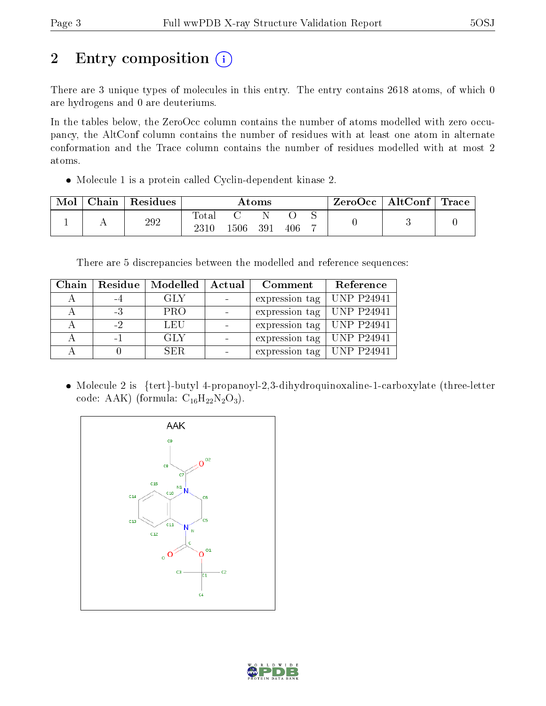# 2 Entry composition (i)

There are 3 unique types of molecules in this entry. The entry contains 2618 atoms, of which 0 are hydrogens and 0 are deuteriums.

In the tables below, the ZeroOcc column contains the number of atoms modelled with zero occupancy, the AltConf column contains the number of residues with at least one atom in alternate conformation and the Trace column contains the number of residues modelled with at most 2 atoms.

Molecule 1 is a protein called Cyclin-dependent kinase 2.

| Mol | Chain | Residues | Atoms          |     |     |     | $\text{ZeroOcc} \mid \text{AltConf} \mid \text{Trace}$ |  |  |
|-----|-------|----------|----------------|-----|-----|-----|--------------------------------------------------------|--|--|
|     |       | 292      | $\text{Total}$ | 506 | 391 | 406 |                                                        |  |  |

There are 5 discrepancies between the modelled and reference sequences:

| Chain | Residue | Modelled   | Actual | Comment        | Reference         |
|-------|---------|------------|--------|----------------|-------------------|
|       | -4      | GLY        |        | expression tag | <b>UNP P24941</b> |
|       | $-3$    | <b>PRO</b> |        | expression tag | <b>UNP P24941</b> |
|       | $-2$    | LEU        |        | expression tag | <b>UNP P24941</b> |
|       | $-1$    | GLY        |        | expression tag | <b>UNP P24941</b> |
|       |         | SER.       |        | expression tag | $ $ UNP P24941    |

• Molecule 2 is {tert}-butyl 4-propanoyl-2,3-dihydroquinoxaline-1-carboxylate (three-letter code: AAK) (formula:  $C_{16}H_{22}N_2O_3$ ).



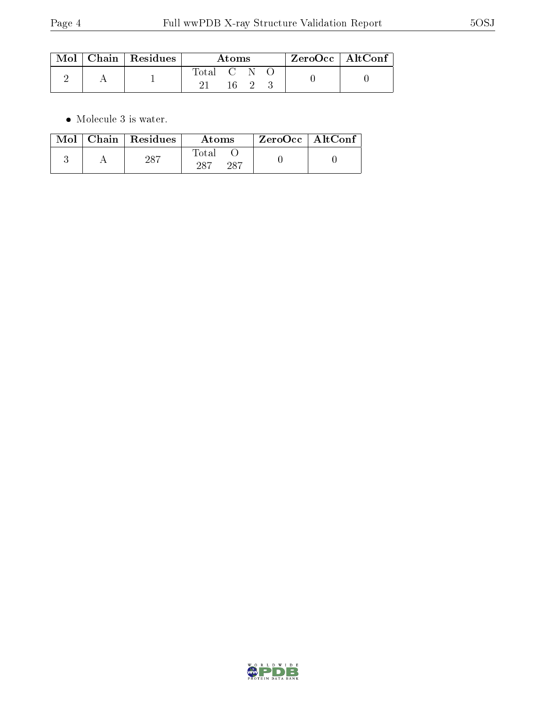|  | $\mid$ Mol $\mid$ Chain $\mid$ Residues | Atoms       |  |  |  | $ZeroOcc \   \ AltConf$ |  |
|--|-----------------------------------------|-------------|--|--|--|-------------------------|--|
|  |                                         | Total C N O |  |  |  |                         |  |

 $\bullet\,$  Molecule 3 is water.

|  | $Mol$   Chain   Residues | Atoms                | $\rm ZeroOcc \mid AltConf$ |  |
|--|--------------------------|----------------------|----------------------------|--|
|  | 287                      | Total<br>-287<br>997 |                            |  |

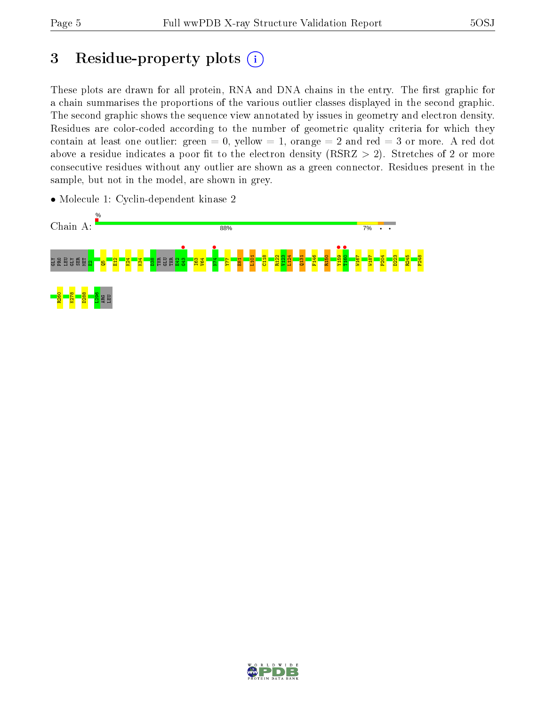# 3 Residue-property plots  $(i)$

These plots are drawn for all protein, RNA and DNA chains in the entry. The first graphic for a chain summarises the proportions of the various outlier classes displayed in the second graphic. The second graphic shows the sequence view annotated by issues in geometry and electron density. Residues are color-coded according to the number of geometric quality criteria for which they contain at least one outlier: green  $= 0$ , yellow  $= 1$ , orange  $= 2$  and red  $= 3$  or more. A red dot above a residue indicates a poor fit to the electron density (RSRZ  $> 2$ ). Stretches of 2 or more consecutive residues without any outlier are shown as a green connector. Residues present in the sample, but not in the model, are shown in grey.



• Molecule 1: Cyclin-dependent kinase 2

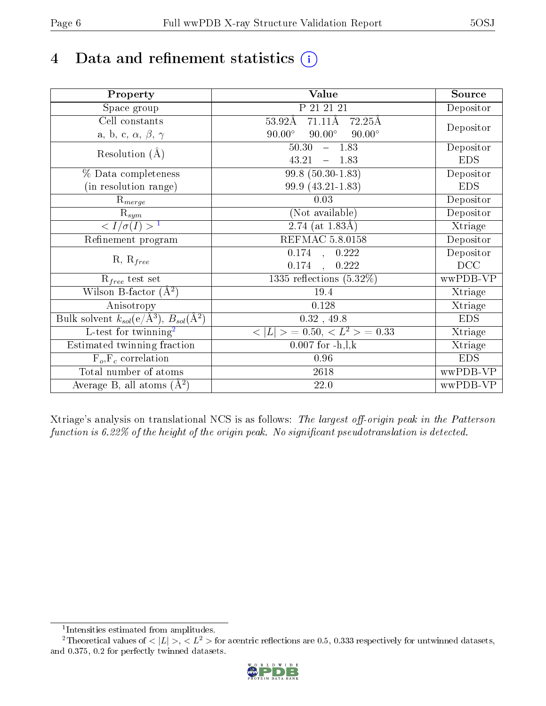# 4 Data and refinement statistics  $(i)$

| Property                                                             | Value                                                       | Source     |
|----------------------------------------------------------------------|-------------------------------------------------------------|------------|
| Space group                                                          | P 21 21 21                                                  | Depositor  |
| Cell constants                                                       | $71.11\text{\AA}$<br>$53.92\text{\AA}$<br>$72.25\text{\AA}$ |            |
| a, b, c, $\alpha$ , $\beta$ , $\gamma$                               | $90.00^\circ$<br>$90.00^\circ$<br>$90.00^\circ$             | Depositor  |
| Resolution $(A)$                                                     | 50.30<br>$-1.83$                                            | Depositor  |
|                                                                      | 43.21<br>1.83<br>$\equiv$                                   | <b>EDS</b> |
| % Data completeness                                                  | $99.8(50.30-1.83)$                                          | Depositor  |
| (in resolution range)                                                | 99.9 (43.21-1.83)                                           | <b>EDS</b> |
| $\mathrm{R}_{merge}$                                                 | 0.03                                                        | Depositor  |
| $\mathrm{R}_{sym}$                                                   | (Not available)                                             | Depositor  |
| $\sqrt{I/\sigma}(I) > 1$                                             | $2.74$ (at 1.83Å)                                           | Xtriage    |
| Refinement program                                                   | <b>REFMAC 5.8.0158</b>                                      | Depositor  |
|                                                                      | $0.174$ , $0.222$                                           | Depositor  |
| $R, R_{free}$                                                        | 0.174<br>0.222<br>$\mathcal{A}$                             | DCC        |
| $R_{free}$ test set                                                  | 1335 reflections $(5.32\%)$                                 | wwPDB-VP   |
| Wilson B-factor $(A^2)$                                              | 19.4                                                        | Xtriage    |
| Anisotropy                                                           | 0.128                                                       | Xtriage    |
| Bulk solvent $k_{sol}(e/\mathring{A}^3)$ , $B_{sol}(\mathring{A}^2)$ | $0.32$ , 49.8                                               | <b>EDS</b> |
| $\overline{L-test for }$ twinning <sup>2</sup>                       | $< L >$ = 0.50, $< L2$ = 0.33                               | Xtriage    |
| Estimated twinning fraction                                          | $0.007$ for $-h, l, k$                                      | Xtriage    |
| $F_o, F_c$ correlation                                               | 0.96                                                        | <b>EDS</b> |
| Total number of atoms                                                | <b>2618</b>                                                 | wwPDB-VP   |
| Average B, all atoms $(A^2)$                                         | 22.0                                                        | wwPDB-VP   |

Xtriage's analysis on translational NCS is as follows: The largest off-origin peak in the Patterson function is  $6.22\%$  of the height of the origin peak. No significant pseudotranslation is detected.

<sup>&</sup>lt;sup>2</sup>Theoretical values of  $\langle |L| \rangle$ ,  $\langle L^2 \rangle$  for acentric reflections are 0.5, 0.333 respectively for untwinned datasets, and 0.375, 0.2 for perfectly twinned datasets.



<span id="page-5-1"></span><span id="page-5-0"></span><sup>1</sup> Intensities estimated from amplitudes.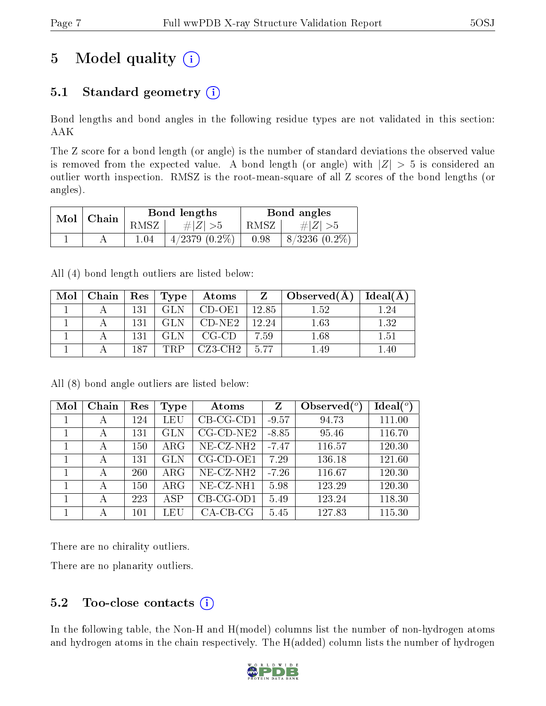# 5 Model quality  $(i)$

## 5.1 Standard geometry  $(i)$

Bond lengths and bond angles in the following residue types are not validated in this section: AAK

The Z score for a bond length (or angle) is the number of standard deviations the observed value is removed from the expected value. A bond length (or angle) with  $|Z| > 5$  is considered an outlier worth inspection. RMSZ is the root-mean-square of all Z scores of the bond lengths (or angles).

| Mol | $ $ Chain |      | Bond lengths       | Bond angles |                 |  |
|-----|-----------|------|--------------------|-------------|-----------------|--|
|     |           | RMSZ | $\# Z  > 5$        | RMSZ        | # $ Z  > 5$     |  |
|     |           | 1.04 | $4/2379$ $(0.2\%)$ | 0.98        | $8/3236(0.2\%)$ |  |

All (4) bond length outliers are listed below:

| Mol | Chain | $\operatorname{Res}$ | $\vert$ Type | Atoms    | $Z_{-}$ | Observed(A) | Ideal(A) |
|-----|-------|----------------------|--------------|----------|---------|-------------|----------|
|     |       | 131                  | <b>GLN</b>   | $CD-OE1$ | 12.85   | 1.52        | 1.24     |
|     |       | 131                  | GL N         | $CD-NE2$ | 12.24   | 1.63        | 1.32     |
|     |       | 131                  | GLN.         | $CG-CD$  | 7.59    | 1.68        | 1.51     |
|     |       | 187                  | PRP          | CZ3-CH2  | 5.77    | 1.49        | $1.40\,$ |

All (8) bond angle outliers are listed below:

| Mol | Chain | Res | <b>Type</b> | Atoms                    | Z       | Observed $(°)$ | Ideal $(°)$ |
|-----|-------|-----|-------------|--------------------------|---------|----------------|-------------|
| T   | А     | 124 | LEU         | $CB-CG-CD1$              | $-9.57$ | 94.73          | 111.00      |
|     | А     | 131 | <b>GLN</b>  | $CG$ - $CD$ - $NE2$      | $-8.85$ | 95.46          | 116.70      |
|     | A     | 150 | $\rm{ARG}$  | NE-CZ-NH <sub>2</sub>    | $-7.47$ | 116.57         | 120.30      |
|     | А     | 131 | <b>GLN</b>  | $CG$ - $CD$ - $OE1$      | 7.29    | 136.18         | 121.60      |
|     | А     | 260 | $\rm{ARG}$  | $NE$ -CZ-NH <sub>2</sub> | $-7.26$ | 116.67         | 120.30      |
|     | А     | 150 | $\rm{ARG}$  | NE-CZ-NH1                | 5.98    | 123.29         | 120.30      |
|     | А     | 223 | <b>ASP</b>  | $CB-CG-OD1$              | 5.49    | 123.24         | 118.30      |
|     | А     | 101 | LEU         | $CA$ -CB-CG              | 5.45    | 127.83         | 115.30      |

There are no chirality outliers.

There are no planarity outliers.

### $5.2$  Too-close contacts  $(i)$

In the following table, the Non-H and H(model) columns list the number of non-hydrogen atoms and hydrogen atoms in the chain respectively. The H(added) column lists the number of hydrogen

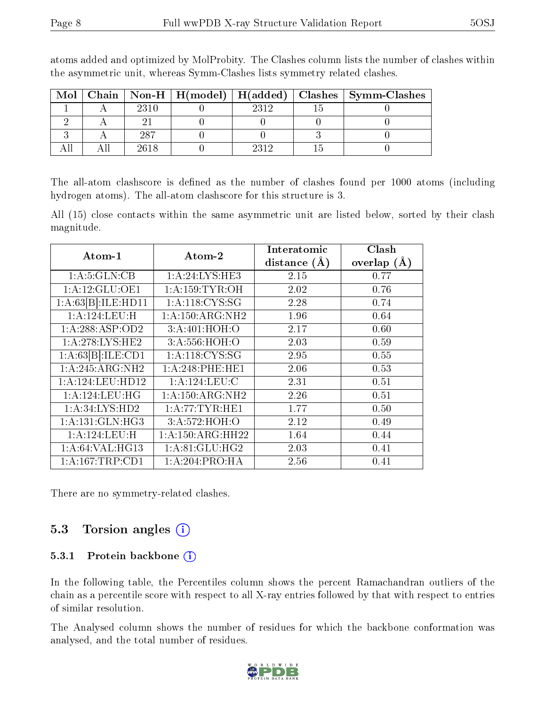| Mol |       |      | Chain   Non-H   H(model)   H(added)   Clashes   Symm-Clashes |
|-----|-------|------|--------------------------------------------------------------|
|     | 2310  | 2312 |                                                              |
|     |       |      |                                                              |
|     | - 287 |      |                                                              |
|     | 2618  |      |                                                              |

atoms added and optimized by MolProbity. The Clashes column lists the number of clashes within the asymmetric unit, whereas Symm-Clashes lists symmetry related clashes.

The all-atom clashscore is defined as the number of clashes found per 1000 atoms (including hydrogen atoms). The all-atom clashscore for this structure is 3.

All (15) close contacts within the same asymmetric unit are listed below, sorted by their clash magnitude.

| Atom-1             | Atom-2                        | Interatomic    | Clash         |
|--------------------|-------------------------------|----------------|---------------|
|                    |                               | distance $(A)$ | overlap $(A)$ |
| 1: A:5: GLN:CB     | 1: A:24: LYS:HE3              | 2.15           | 0.77          |
| 1:A:12:GLU:OE1     | 1: A: 159: TYR: OH            | 2.02           | 0.76          |
| 1:A:63[B]:ILE:HD11 | 1: A:118: CYS:SG              | 2.28           | 0.74          |
| 1: A: 124: LEU: H  | $1: A:150:ARG:\overline{NH2}$ | 1.96           | 0.64          |
| 1:A:288:ASP:OD2    | 3:A:401:HOH:O                 | 2.17           | 0.60          |
| 1:A:278:LYS:HE2    | 3:A:556:HOH:O                 | 2.03           | 0.59          |
| 1:A:63[B]:ILE:CD1  | 1: A:118: CYS:SG              | 2.95           | 0.55          |
| 1:A:245:ARG:NH2    | 1: A:248:PHE:HE1              | 2.06           | 0.53          |
| 1: A:124:LEU:HD12  | 1: A: 124: LEU: C             | 2.31           | 0.51          |
| 1: A: 124: LEU: HG | 1: A:150:ARG:NH2              | 2.26           | 0.51          |
| 1: A:34:LYS:HD2    | 1: A:77:TYR:HE1               | 1.77           | 0.50          |
| 1: A:131: GLN: HG3 | 3:A:572:HOH:O                 | 2.12           | 0.49          |
| 1:A:124:LEU:H      | 1: A:150:ARG:HH22             | 1.64           | 0.44          |
| 1: A:64: VAL: HG13 | $1:$ A:81:GLU:HG2             | 2.03           | 0.41          |
| 1:A:167:TRP:CD1    | 1: A:204:PRO:HA               | 2.56           | 0.41          |

There are no symmetry-related clashes.

### 5.3 Torsion angles (i)

#### 5.3.1 Protein backbone (i)

In the following table, the Percentiles column shows the percent Ramachandran outliers of the chain as a percentile score with respect to all X-ray entries followed by that with respect to entries of similar resolution.

The Analysed column shows the number of residues for which the backbone conformation was analysed, and the total number of residues.

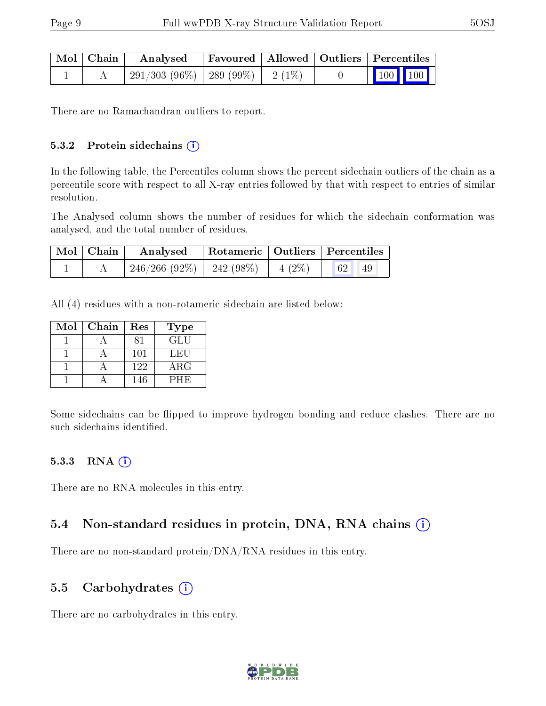| Mol   Chain | Analysed                              |  | Favoured   Allowed   Outliers   Percentiles                                        |  |
|-------------|---------------------------------------|--|------------------------------------------------------------------------------------|--|
|             | $291/303(96\%)$   289 (99\%)   2(1\%) |  | $\begin{array}{ c c c c c }\n\hline\n\multicolumn{1}{ c }{100} & 100\n\end{array}$ |  |

There are no Ramachandran outliers to report.

#### $5.3.2$  Protein sidechains  $(i)$

In the following table, the Percentiles column shows the percent sidechain outliers of the chain as a percentile score with respect to all X-ray entries followed by that with respect to entries of similar resolution.

The Analysed column shows the number of residues for which the sidechain conformation was analysed, and the total number of residues.

| Mol   Chain | Analysed Rotameric   Outliers   Percentiles |  |                                                                         |  |
|-------------|---------------------------------------------|--|-------------------------------------------------------------------------|--|
|             | $246/266$ (92\%)   242 (98\%)   4 (2\%)     |  | $\begin{array}{ c c c c c }\hline 62 & \ldots \hline \end{array}$<br>49 |  |

All (4) residues with a non-rotameric sidechain are listed below:

| Mol | Chain | Res | Type       |
|-----|-------|-----|------------|
|     |       |     | <b>GLU</b> |
|     |       | 101 | LEU        |
|     |       | 122 | $\rm{ARG}$ |
|     |       | 146 | PHE        |

Some sidechains can be flipped to improve hydrogen bonding and reduce clashes. There are no such sidechains identified.

#### $5.3.3$  RNA  $(i)$

There are no RNA molecules in this entry.

### 5.4 Non-standard residues in protein, DNA, RNA chains  $(i)$

There are no non-standard protein/DNA/RNA residues in this entry.

#### 5.5 Carbohydrates  $(i)$

There are no carbohydrates in this entry.

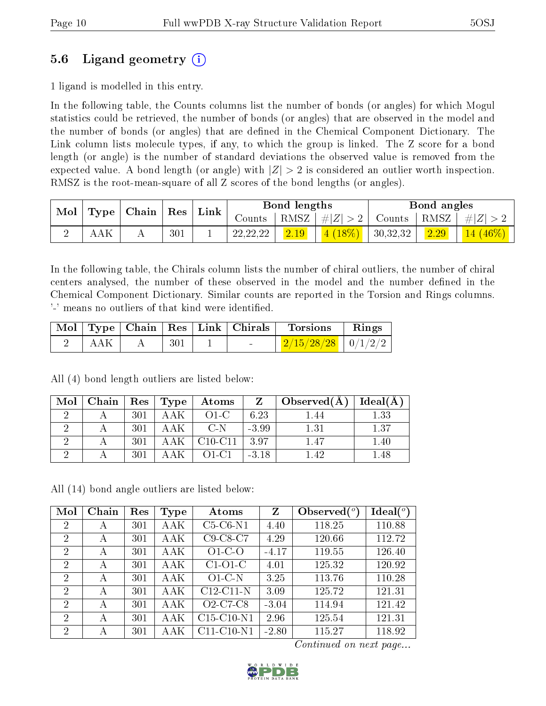### 5.6 Ligand geometry (i)

1 ligand is modelled in this entry.

In the following table, the Counts columns list the number of bonds (or angles) for which Mogul statistics could be retrieved, the number of bonds (or angles) that are observed in the model and the number of bonds (or angles) that are dened in the Chemical Component Dictionary. The Link column lists molecule types, if any, to which the group is linked. The Z score for a bond length (or angle) is the number of standard deviations the observed value is removed from the expected value. A bond length (or angle) with  $|Z| > 2$  is considered an outlier worth inspection. RMSZ is the root-mean-square of all Z scores of the bond lengths (or angles).

| Mol<br>Type |     | Chain | Res | ${\rm Link}$ | Bond lengths |      |         | Bond angles |      |               |
|-------------|-----|-------|-----|--------------|--------------|------|---------|-------------|------|---------------|
|             |     |       |     |              | Counts-      | RMSZ | #Z  > 2 | Counts      | RMSZ | $\pm  Z  > 2$ |
|             | AAK |       | 301 |              | 22, 22, 22   | 2.19 | 4(18%)  | 130,32,32   | 2.29 | $14(46\%)$    |

In the following table, the Chirals column lists the number of chiral outliers, the number of chiral centers analysed, the number of these observed in the model and the number defined in the Chemical Component Dictionary. Similar counts are reported in the Torsion and Rings columns. '-' means no outliers of that kind were identified.

|       |     | $\mid$ Mol $\mid$ Type $\mid$ Chain $\mid$ Res $\mid$ Link $\mid$ Chirals $\mid$ | Torsions                 | $\parallel$ Rings |
|-------|-----|----------------------------------------------------------------------------------|--------------------------|-------------------|
| I AAK | 301 | <b>Contract Contract Contract</b>                                                | $2/15/28/28$   $0/1/2/2$ |                   |

All (4) bond length outliers are listed below:

| Mol | $\perp$ Chain $\perp$ |     | $\vert$ Res $\vert$ Type $\vert$ | $\Delta t$ oms   |         | $Z \mid Observed(A)$ | Ideal $(A)$ |
|-----|-----------------------|-----|----------------------------------|------------------|---------|----------------------|-------------|
|     |                       | 301 | AAK                              | $O1-C$           | 6.23    | 44. ا                | 1.33        |
|     |                       | 301 | AAK -                            | $C-N$            | $-3.99$ | 1.31                 | 1.37        |
|     |                       | 301 |                                  | $C10-C11$   3.97 |         | 1.47                 | $1.40\,$    |
|     |                       | 301 |                                  | $O1-C1$          | $-3.18$ | 1.42                 | .48         |

All (14) bond angle outliers are listed below:

| Mol            | Chain | Res | Type | Atoms        | Z       | Observed $(°)$ | Ideal $(^\circ)$ |
|----------------|-------|-----|------|--------------|---------|----------------|------------------|
| $\overline{2}$ | А     | 301 | AAK  | $C5-C6-N1$   | 4.40    | 118.25         | 110.88           |
| $\overline{2}$ | А     | 301 | AAK  | $C9-C8-C7$   | 4.29    | 120.66         | 112.72           |
| $\overline{2}$ | А     | 301 | AAK  | $O1-C-O$     | $-4.17$ | 119.55         | 126.40           |
| $\overline{2}$ | А     | 301 | AAK  | $C1-O1-C$    | 4.01    | 125.32         | 120.92           |
| $\overline{2}$ | А     | 301 | AAK  | $O1-C-N$     | 3.25    | 113.76         | 110.28           |
| $\overline{2}$ | А     | 301 | AAK  | $C12-C11-N$  | 3.09    | 125.72         | 121.31           |
| $\overline{2}$ | А     | 301 | AAK  | $O2-C7-C8$   | $-3.04$ | 114.94         | 121.42           |
| $\overline{2}$ | А     | 301 | AAK  | $C15-C10-N1$ | 2.96    | 125.54         | 121.31           |
| $\overline{2}$ | А     | 301 | AAK  | $C11-C10-N1$ | $-2.80$ | 115.27         | 118.92           |

Continued on next page...

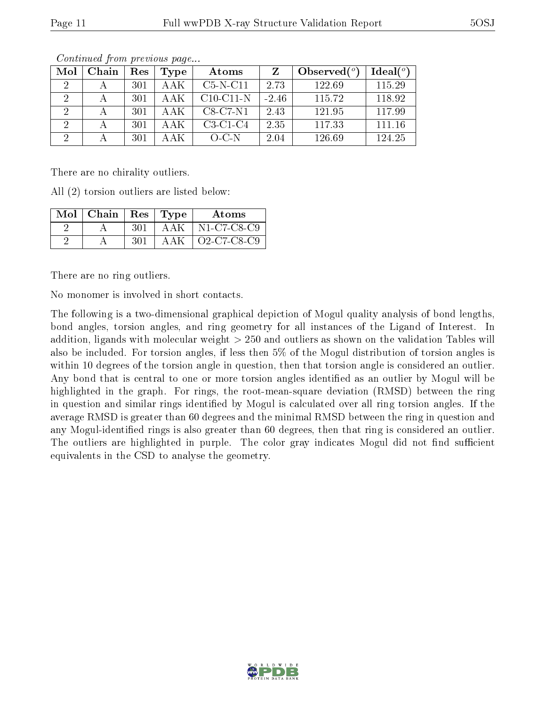| Mol           | Chain | Res | Type | Atoms       |         | Observed $(°)$ | Ideal $(°)$ |
|---------------|-------|-----|------|-------------|---------|----------------|-------------|
| $\mathcal{P}$ |       | 301 | AAK  | $C5-N-C11$  | 2.73    | 122.69         | 115.29      |
| 2             |       | 301 | AAK  | $C10-C11-N$ | $-2.46$ | 115.72         | 118.92      |
| 2             |       | 301 | AAK  | $C8-C7-N1$  | 2.43    | 121.95         | 117.99      |
| 2             |       | 301 | AAK  | $C3-C1-C4$  | 2.35    | 117.33         | 111.16      |
|               |       | 301 | ΑAΚ  | $O-C-N$     | 2.04    | 126.69         | 124.25      |

Continued from previous page...

There are no chirality outliers.

All (2) torsion outliers are listed below:

| Mol | $\mid$ Chain $\mid$ Res $\mid$ |      | Type | Atoms       |
|-----|--------------------------------|------|------|-------------|
|     |                                | -301 | AAK  | N1-C7-C8-C9 |
|     |                                | 301  | AAK  | Q2-C7-C8-C9 |

There are no ring outliers.

No monomer is involved in short contacts.

The following is a two-dimensional graphical depiction of Mogul quality analysis of bond lengths, bond angles, torsion angles, and ring geometry for all instances of the Ligand of Interest. In addition, ligands with molecular weight > 250 and outliers as shown on the validation Tables will also be included. For torsion angles, if less then 5% of the Mogul distribution of torsion angles is within 10 degrees of the torsion angle in question, then that torsion angle is considered an outlier. Any bond that is central to one or more torsion angles identified as an outlier by Mogul will be highlighted in the graph. For rings, the root-mean-square deviation (RMSD) between the ring in question and similar rings identified by Mogul is calculated over all ring torsion angles. If the average RMSD is greater than 60 degrees and the minimal RMSD between the ring in question and any Mogul-identified rings is also greater than 60 degrees, then that ring is considered an outlier. The outliers are highlighted in purple. The color gray indicates Mogul did not find sufficient equivalents in the CSD to analyse the geometry.

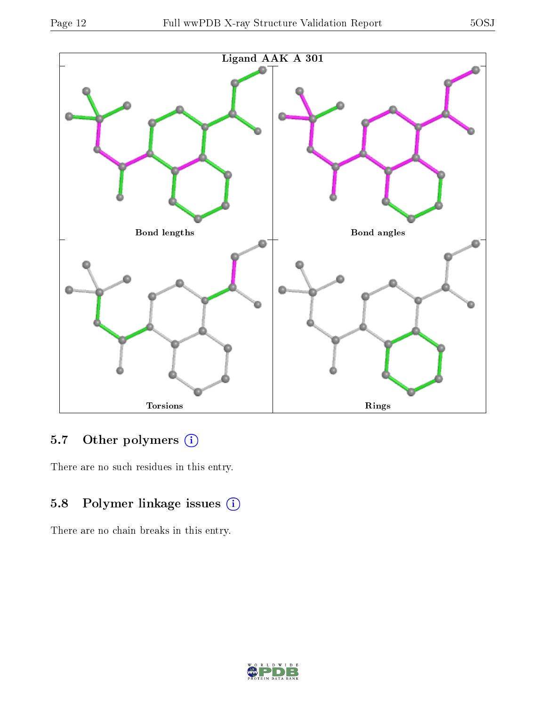

## 5.7 [O](https://www.wwpdb.org/validation/2017/XrayValidationReportHelp#nonstandard_residues_and_ligands)ther polymers (i)

There are no such residues in this entry.

## 5.8 Polymer linkage issues (i)

There are no chain breaks in this entry.

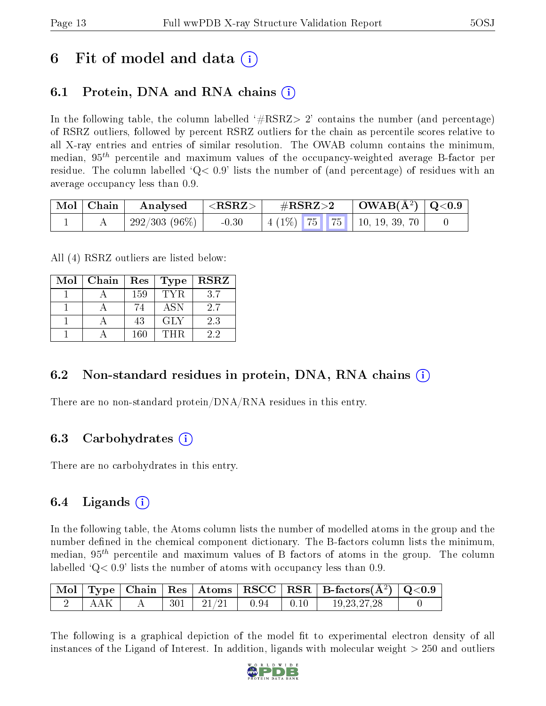## 6 Fit of model and data  $\left( \cdot \right)$

### 6.1 Protein, DNA and RNA chains (i)

In the following table, the column labelled  $#RSRZ> 2'$  contains the number (and percentage) of RSRZ outliers, followed by percent RSRZ outliers for the chain as percentile scores relative to all X-ray entries and entries of similar resolution. The OWAB column contains the minimum, median,  $95<sup>th</sup>$  percentile and maximum values of the occupancy-weighted average B-factor per residue. The column labelled  $Q < 0.9$  lists the number of (and percentage) of residues with an average occupancy less than 0.9.

| $\mid$ Mol $\mid$ Chain $\mid$ | $\vert$ Analysed $\vert$ <rsrz> <math>\vert</math></rsrz> |         | $\rm \#RSRZ{>}2$ |  |  | $\mid$ OWAB(Å <sup>2</sup> ) $\mid$ Q<0.9 |  |
|--------------------------------|-----------------------------------------------------------|---------|------------------|--|--|-------------------------------------------|--|
|                                | $\mid$ 292/303 (96\%) $\mid$                              | $-0.30$ |                  |  |  | $\mid$ 4 (1%) 75 75 10, 19, 39, 70        |  |

All (4) RSRZ outliers are listed below:

| Mol | Chain | Res<br>Type |            | <b>RSRZ</b> |  |
|-----|-------|-------------|------------|-------------|--|
|     |       | 159         | TYR.       | 3.7         |  |
|     |       | 74          | <b>ASN</b> | 2.7         |  |
|     |       | 43          | <b>GLY</b> | 2.3         |  |
|     |       | 160         | THR        | 22          |  |

### 6.2 Non-standard residues in protein, DNA, RNA chains  $(i)$

There are no non-standard protein/DNA/RNA residues in this entry.

### 6.3 Carbohydrates (i)

There are no carbohydrates in this entry.

### $6.4$  Ligands  $(i)$

In the following table, the Atoms column lists the number of modelled atoms in the group and the number defined in the chemical component dictionary. The B-factors column lists the minimum, median,  $95<sup>th</sup>$  percentile and maximum values of B factors of atoms in the group. The column labelled  $Q< 0.9$  lists the number of atoms with occupancy less than 0.9.

|     |  |                        |                                       | $\mid$ Mol $\mid$ Type $\mid$ Chain $\mid$ Res $\mid$ Atoms $\mid$ RSCC $\mid$ RSR $\mid$ B-factors(A <sup>2</sup> ) $\mid$ Q<0.9 |  |
|-----|--|------------------------|---------------------------------------|-----------------------------------------------------------------------------------------------------------------------------------|--|
| AAK |  | $301$   $21/21$   0.94 | $\begin{array}{c c} 0.10 \end{array}$ | 19.23.27.28                                                                                                                       |  |

The following is a graphical depiction of the model fit to experimental electron density of all instances of the Ligand of Interest. In addition, ligands with molecular weight  $> 250$  and outliers